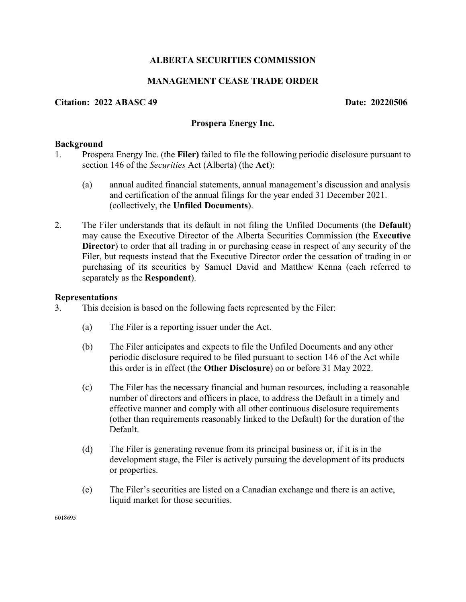# **ALBERTA SECURITIES COMMISSION**

# **MANAGEMENT CEASE TRADE ORDER**

## **Citation: 2022 ABASC 49 Date: 20220506**

## **Prospera Energy Inc.**

## **Background**

- 1. Prospera Energy Inc. (the **Filer)** failed to file the following periodic disclosure pursuant to section 146 of the *Securities* Act (Alberta) (the **Act**):
	- (a) annual audited financial statements, annual management's discussion and analysis and certification of the annual filings for the year ended 31 December 2021. (collectively, the **Unfiled Documents**).
- 2. The Filer understands that its default in not filing the Unfiled Documents (the **Default**) may cause the Executive Director of the Alberta Securities Commission (the **Executive Director**) to order that all trading in or purchasing cease in respect of any security of the Filer, but requests instead that the Executive Director order the cessation of trading in or purchasing of its securities by Samuel David and Matthew Kenna (each referred to separately as the **Respondent**).

#### **Representations**

- 3. This decision is based on the following facts represented by the Filer:
	- (a) The Filer is a reporting issuer under the Act.
	- (b) The Filer anticipates and expects to file the Unfiled Documents and any other periodic disclosure required to be filed pursuant to section 146 of the Act while this order is in effect (the **Other Disclosure**) on or before 31 May 2022.
	- (c) The Filer has the necessary financial and human resources, including a reasonable number of directors and officers in place, to address the Default in a timely and effective manner and comply with all other continuous disclosure requirements (other than requirements reasonably linked to the Default) for the duration of the Default.
	- (d) The Filer is generating revenue from its principal business or, if it is in the development stage, the Filer is actively pursuing the development of its products or properties.
	- (e) The Filer's securities are listed on a Canadian exchange and there is an active, liquid market for those securities.

6018695